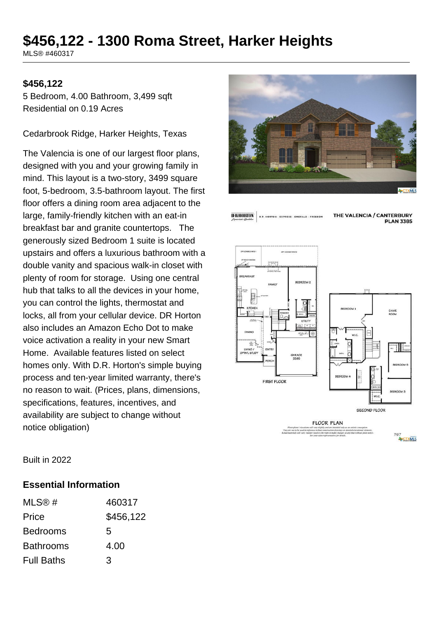# **\$456,122 - 1300 Roma Street, Harker Heights**

MLS® #460317

#### **\$456,122**

5 Bedroom, 4.00 Bathroom, 3,499 sqft Residential on 0.19 Acres

Cedarbrook Ridge, Harker Heights, Texas

The Valencia is one of our largest floor plans, designed with you and your growing family in mind. This layout is a two-story, 3499 square foot, 5-bedroom, 3.5-bathroom layout. The first floor offers a dining room area adjacent to the large, family-friendly kitchen with an eat-in breakfast bar and granite countertops. The generously sized Bedroom 1 suite is located upstairs and offers a luxurious bathroom with a double vanity and spacious walk-in closet with plenty of room for storage. Using one central hub that talks to all the devices in your home, you can control the lights, thermostat and locks, all from your cellular device. DR Horton also includes an Amazon Echo Dot to make voice activation a reality in your new Smart Home. Available features listed on select homes only. With D.R. Horton's simple buying process and ten-year limited warranty, there's no reason to wait. (Prices, plans, dimensions, specifications, features, incentives, and availability are subject to change without notice obligation)



**D-R-HORTON D.R. HORTON - EXPRESS - EMERALD - FREEDOM**  THE VALENCIA / CANTERBURY **PLAN 3385** 



Built in 2022

#### **Essential Information**

| MLS@#             | 460317    |
|-------------------|-----------|
| Price             | \$456,122 |
| <b>Bedrooms</b>   | 5         |
| <b>Bathrooms</b>  | 4.00      |
| <b>Full Baths</b> | 3         |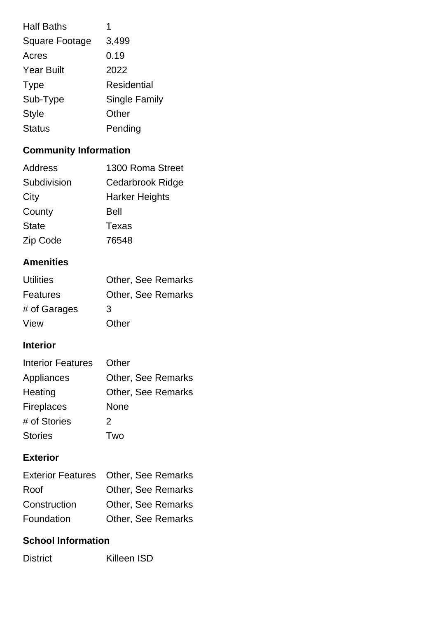| <b>Half Baths</b>     | 1                    |
|-----------------------|----------------------|
| <b>Square Footage</b> | 3,499                |
| Acres                 | 0.19                 |
| <b>Year Built</b>     | 2022                 |
| <b>Type</b>           | Residential          |
| Sub-Type              | <b>Single Family</b> |
| <b>Style</b>          | Other                |
| <b>Status</b>         | Pending              |

## **Community Information**

| Address      | 1300 Roma Street      |
|--------------|-----------------------|
| Subdivision  | Cedarbrook Ridge      |
| City         | <b>Harker Heights</b> |
| County       | <b>Bell</b>           |
| <b>State</b> | Texas                 |
| Zip Code     | 76548                 |

### **Amenities**

| <b>Utilities</b> | <b>Other, See Remarks</b> |
|------------------|---------------------------|
| <b>Features</b>  | <b>Other, See Remarks</b> |
| # of Garages     | 3                         |
| View             | Other                     |

#### **Interior**

| <b>Interior Features</b> | Other                     |
|--------------------------|---------------------------|
| Appliances               | <b>Other, See Remarks</b> |
| Heating                  | <b>Other, See Remarks</b> |
| <b>Fireplaces</b>        | None                      |
| # of Stories             | 2                         |
| <b>Stories</b>           | ™∩                        |

## **Exterior**

|              | Exterior Features Other, See Remarks |
|--------------|--------------------------------------|
| Roof         | <b>Other, See Remarks</b>            |
| Construction | <b>Other, See Remarks</b>            |
| Foundation   | <b>Other, See Remarks</b>            |

#### **School Information**

District Killeen ISD